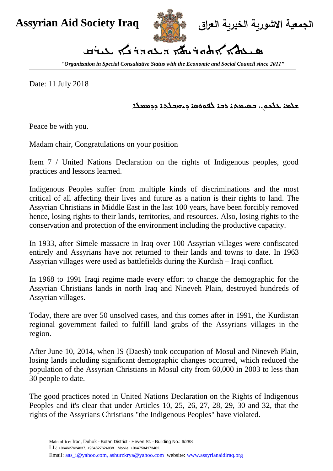

**الجمعية االشورية الخيرية العراق Iraq Society Aid Assyrian**

## **سيعةا اةوريت دعودرنا عريق**

"*Organization in Special Consultative Status with the Economic and Social Council since 2011"*

Date: 11 July 2018

## **شلما علكون، بسيمةا ربا لفورسا ديهبلةا ددممال**

Peace be with you.

Madam chair, Congratulations on your position

Item 7 / United Nations Declaration on the rights of Indigenous peoples, good practices and lessons learned.

Indigenous Peoples suffer from multiple kinds of discriminations and the most critical of all affecting their lives and future as a nation is their rights to land. The Assyrian Christians in Middle East in the last 100 years, have been forcibly removed hence, losing rights to their lands, territories, and resources. Also, losing rights to the conservation and protection of the environment including the productive capacity.

In 1933, after Simele massacre in Iraq over 100 Assyrian villages were confiscated entirely and Assyrians have not returned to their lands and towns to date. In 1963 Assyrian villages were used as battlefields during the Kurdish – Iraqi conflict.

In 1968 to 1991 Iraqi regime made every effort to change the demographic for the Assyrian Christians lands in north Iraq and Nineveh Plain, destroyed hundreds of Assyrian villages.

Today, there are over 50 unsolved cases, and this comes after in 1991, the Kurdistan regional government failed to fulfill land grabs of the Assyrians villages in the region.

After June 10, 2014, when IS (Daesh) took occupation of Mosul and Nineveh Plain, losing lands including significant demographic changes occurred, which reduced the population of the Assyrian Christians in Mosul city from 60,000 in 2003 to less than 30 people to date.

The good practices noted in United Nations Declaration on the Rights of Indigenous Peoples and it's clear that under Articles 10, 25, 26, 27, 28, 29, 30 and 32, that the rights of the Assyrians Christians "the Indigenous Peoples" have violated.